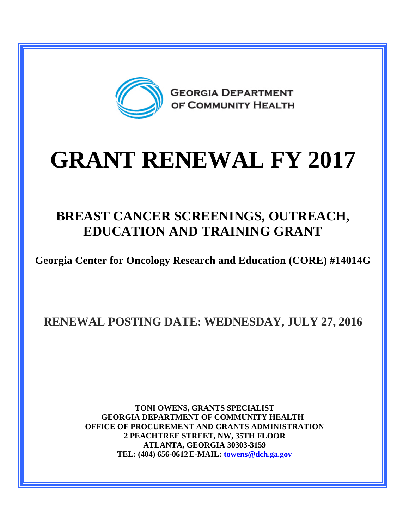

# **GRANT RENEWAL FY 2017**

## **BREAST CANCER SCREENINGS, OUTREACH, EDUCATION AND TRAINING GRANT**

**Georgia Center for Oncology Research and Education (CORE) #14014G**

**RENEWAL POSTING DATE: WEDNESDAY, JULY 27, 2016**

**TONI OWENS, GRANTS SPECIALIST GEORGIA DEPARTMENT OF COMMUNITY HEALTH OFFICE OF PROCUREMENT AND GRANTS ADMINISTRATION 2 PEACHTREE STREET, NW, 35TH FLOOR ATLANTA, GEORGIA 30303-3159 TEL: (404) 656-0612 E-MAIL: [towens@dch.ga.gov](mailto:towens@dch.ga.gov)**